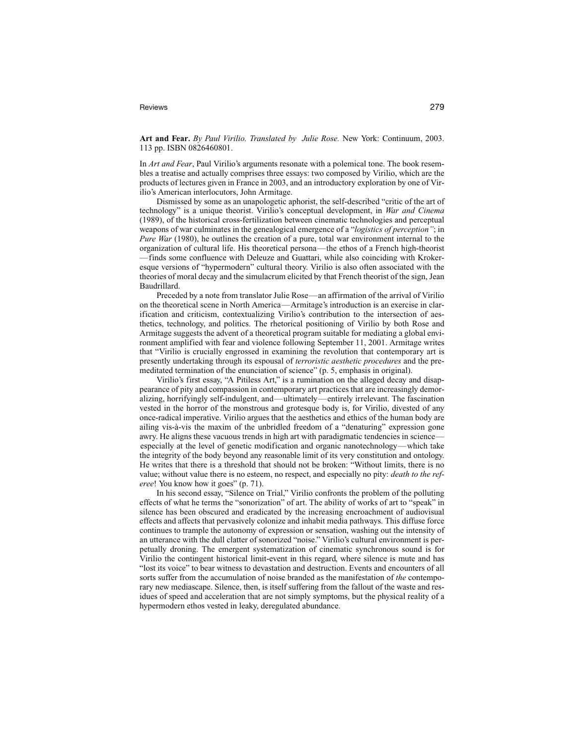## Reviews 279

**Art and Fear.** *By Paul Virilio. Translated by Julie Rose.* New York: Continuum, 2003. 113 pp. ISBN 0826460801.

In *Art and Fear*, Paul Virilio's arguments resonate with a polemical tone. The book resembles a treatise and actually comprises three essays: two composed by Virilio, which are the products of lectures given in France in 2003, and an introductory exploration by one of Virilio's American interlocutors, John Armitage.

Dismissed by some as an unapologetic aphorist, the self-described "critic of the art of technology" is a unique theorist. Virilio's conceptual development, in *War and Cinema* (1989), of the historical cross-fertilization between cinematic technologies and perceptual weapons of war culminates in the genealogical emergence of a "*logistics of perception"*; in *Pure War* (1980), he outlines the creation of a pure, total war environment internal to the organization of cultural life. His theoretical persona—the ethos of a French high-theorist —finds some confluence with Deleuze and Guattari, while also coinciding with Krokeresque versions of "hypermodern" cultural theory. Virilio is also often associated with the theories of moral decay and the simulacrum elicited by that French theorist of the sign, Jean Baudrillard.

Preceded by a note from translator Julie Rose—an affirmation of the arrival of Virilio on the theoretical scene in North America—Armitage's introduction is an exercise in clarification and criticism, contextualizing Virilio's contribution to the intersection of aesthetics, technology, and politics. The rhetorical positioning of Virilio by both Rose and Armitage suggests the advent of a theoretical program suitable for mediating a global environment amplified with fear and violence following September 11, 2001. Armitage writes that "Virilio is crucially engrossed in examining the revolution that contemporary art is presently undertaking through its espousal of *terroristic aesthetic procedures* and the premeditated termination of the enunciation of science" (p. 5, emphasis in original).

Virilio's first essay, "A Pitiless Art," is a rumination on the alleged decay and disappearance of pity and compassion in contemporary art practices that are increasingly demoralizing, horrifyingly self-indulgent, and—ultimately—entirely irrelevant. The fascination vested in the horror of the monstrous and grotesque body is, for Virilio, divested of any once-radical imperative. Virilio argues that the aesthetics and ethics of the human body are ailing vis-à-vis the maxim of the unbridled freedom of a "denaturing" expression gone awry. He aligns these vacuous trends in high art with paradigmatic tendencies in science especially at the level of genetic modification and organic nanotechnology—which take the integrity of the body beyond any reasonable limit of its very constitution and ontology. He writes that there is a threshold that should not be broken: "Without limits, there is no value; without value there is no esteem, no respect, and especially no pity: *death to the referee*! You know how it goes" (p. 71).

In his second essay, "Silence on Trial," Virilio confronts the problem of the polluting effects of what he terms the "sonorization" of art. The ability of works of art to "speak" in silence has been obscured and eradicated by the increasing encroachment of audiovisual effects and affects that pervasively colonize and inhabit media pathways. This diffuse force continues to trample the autonomy of expression or sensation, washing out the intensity of an utterance with the dull clatter of sonorized "noise." Virilio's cultural environment is perpetually droning. The emergent systematization of cinematic synchronous sound is for Virilio the contingent historical limit-event in this regard, where silence is mute and has "lost its voice" to bear witness to devastation and destruction. Events and encounters of all sorts suffer from the accumulation of noise branded as the manifestation of *the* contemporary new mediascape. Silence, then, is itself suffering from the fallout of the waste and residues of speed and acceleration that are not simply symptoms, but the physical reality of a hypermodern ethos vested in leaky, deregulated abundance.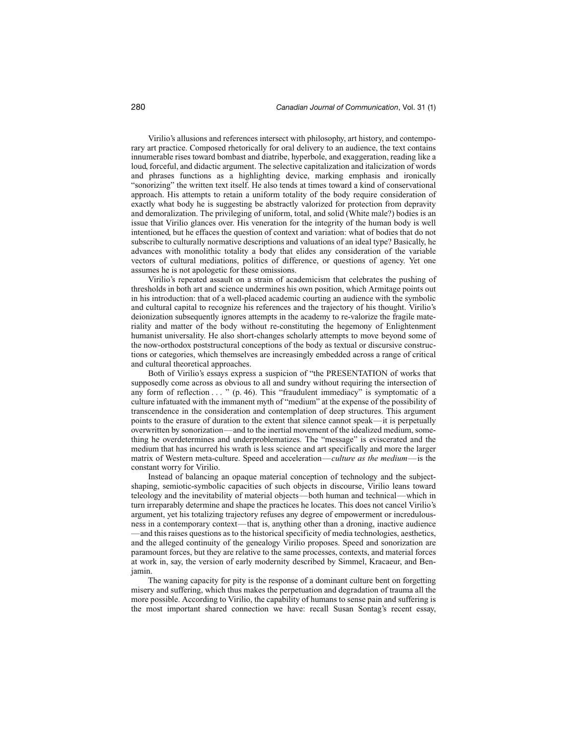Virilio's allusions and references intersect with philosophy, art history, and contemporary art practice. Composed rhetorically for oral delivery to an audience, the text contains innumerable rises toward bombast and diatribe, hyperbole, and exaggeration, reading like a loud, forceful, and didactic argument. The selective capitalization and italicization of words and phrases functions as a highlighting device, marking emphasis and ironically "sonorizing" the written text itself. He also tends at times toward a kind of conservational approach. His attempts to retain a uniform totality of the body require consideration of exactly what body he is suggesting be abstractly valorized for protection from depravity and demoralization. The privileging of uniform, total, and solid (White male?) bodies is an issue that Virilio glances over. His veneration for the integrity of the human body is well intentioned, but he effaces the question of context and variation: what of bodies that do not subscribe to culturally normative descriptions and valuations of an ideal type? Basically, he advances with monolithic totality a body that elides any consideration of the variable vectors of cultural mediations, politics of difference, or questions of agency. Yet one assumes he is not apologetic for these omissions.

Virilio's repeated assault on a strain of academicism that celebrates the pushing of thresholds in both art and science undermines his own position, which Armitage points out in his introduction: that of a well-placed academic courting an audience with the symbolic and cultural capital to recognize his references and the trajectory of his thought. Virilio's deionization subsequently ignores attempts in the academy to re-valorize the fragile materiality and matter of the body without re-constituting the hegemony of Enlightenment humanist universality. He also short-changes scholarly attempts to move beyond some of the now-orthodox poststructural conceptions of the body as textual or discursive constructions or categories, which themselves are increasingly embedded across a range of critical and cultural theoretical approaches.

Both of Virilio's essays express a suspicion of "the PRESENTATION of works that supposedly come across as obvious to all and sundry without requiring the intersection of any form of reflection  $\dots$  " (p. 46). This "fraudulent immediacy" is symptomatic of a culture infatuated with the immanent myth of "medium" at the expense of the possibility of transcendence in the consideration and contemplation of deep structures. This argument points to the erasure of duration to the extent that silence cannot speak—it is perpetually overwritten by sonorization—and to the inertial movement of the idealized medium, something he overdetermines and underproblematizes. The "message" is eviscerated and the medium that has incurred his wrath is less science and art specifically and more the larger matrix of Western meta-culture. Speed and acceleration—*culture as the medium*—is the constant worry for Virilio.

Instead of balancing an opaque material conception of technology and the subjectshaping, semiotic-symbolic capacities of such objects in discourse, Virilio leans toward teleology and the inevitability of material objects—both human and technical—which in turn irreparably determine and shape the practices he locates. This does not cancel Virilio's argument, yet his totalizing trajectory refuses any degree of empowerment or incredulousness in a contemporary context—that is, anything other than a droning, inactive audience —and this raises questions as to the historical specificity of media technologies, aesthetics, and the alleged continuity of the genealogy Virilio proposes. Speed and sonorization are paramount forces, but they are relative to the same processes, contexts, and material forces at work in, say, the version of early modernity described by Simmel, Kracaeur, and Benjamin.

The waning capacity for pity is the response of a dominant culture bent on forgetting misery and suffering, which thus makes the perpetuation and degradation of trauma all the more possible. According to Virilio, the capability of humans to sense pain and suffering is the most important shared connection we have: recall Susan Sontag's recent essay,